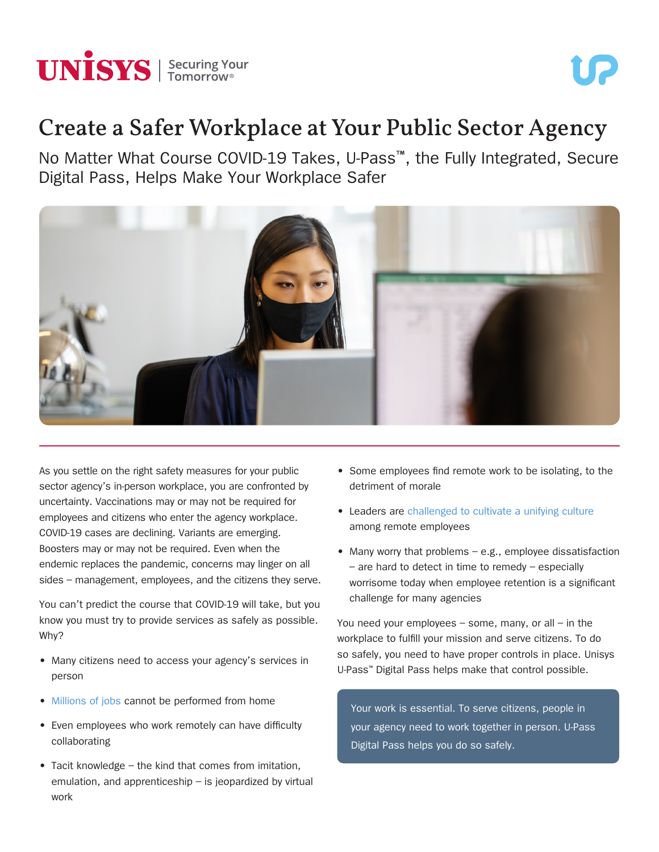

# Create a Safer Workplace at Your Public Sector Agency

No Matter What Course COVID-19 Takes, U-Pass™, the Fully Integrated, Secure Digital Pass, Helps Make Your Workplace Safer



As you settle on the right safety measures for your public sector agency's in-person workplace, you are confronted by uncertainty. Vaccinations may or may not be required for employees and citizens who enter the agency workplace. COVID-19 cases are declining. Variants are emerging. Boosters may or may not be required. Even when the endemic replaces the pandemic, concerns may linger on all sides – management, employees, and the citizens they serve.

You can't predict the course that COVID-19 will take, but you know you must try to provide services as safely as possible. Why?

- Many citizens need to access your agency's services in person
- [Millions of jobs](https://www.hcamag.com/us/specialization/employee-engagement/why-remote-work-isnt-for-everyone/229639) cannot be performed from home
- Even employees who work remotely can have difficulty collaborating
- Tacit knowledge the kind that comes from imitation, emulation, and apprenticeship – is jeopardized by virtual work
- Some employees find remote work to be isolating, to the detriment of morale
- Leaders are [challenged to cultivate a unifying culture](https://www.coworkingresources.org/blog/the-negative-effects-of-working-from-home-on-company-culture) among remote employees
- Many worry that problems e.g., employee dissatisfaction – are hard to detect in time to remedy – especially worrisome today when employee retention is a significant challenge for many agencies

You need your employees  $-$  some, many, or all  $-$  in the workplace to fulfill your mission and serve citizens. To do so safely, you need to have proper controls in place. Unisys U-Pass™ Digital Pass helps make that control possible.

Your work is essential. To serve citizens, people in your agency need to work together in person. U-Pass Digital Pass helps you do so safely.